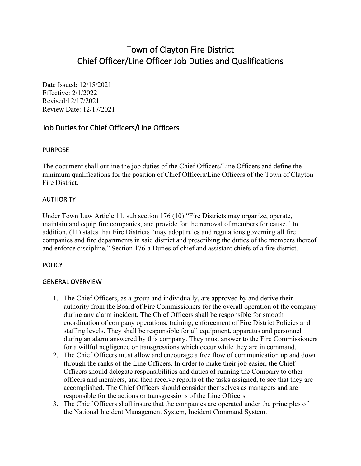# Town of Clayton Fire District Chief Officer/Line Officer Job Duties and Qualifications

Date Issued: 12/15/2021 Effective: 2/1/2022 Revised:12/17/2021 Review Date: 12/17/2021

# Job Duties for Chief Officers/Line Officers

#### PURPOSE

The document shall outline the job duties of the Chief Officers/Line Officers and define the minimum qualifications for the position of Chief Officers/Line Officers of the Town of Clayton Fire District.

### **AUTHORITY**

Under Town Law Article 11, sub section 176 (10) "Fire Districts may organize, operate, maintain and equip fire companies, and provide for the removal of members for cause." In addition, (11) states that Fire Districts "may adopt rules and regulations governing all fire companies and fire departments in said district and prescribing the duties of the members thereof and enforce discipline." Section 176-a Duties of chief and assistant chiefs of a fire district.

### **POLICY**

### GENERAL OVERVIEW

- 1. The Chief Officers, as a group and individually, are approved by and derive their authority from the Board of Fire Commissioners for the overall operation of the company during any alarm incident. The Chief Officers shall be responsible for smooth coordination of company operations, training, enforcement of Fire District Policies and staffing levels. They shall be responsible for all equipment, apparatus and personnel during an alarm answered by this company. They must answer to the Fire Commissioners for a willful negligence or transgressions which occur while they are in command.
- 2. The Chief Officers must allow and encourage a free flow of communication up and down through the ranks of the Line Officers. In order to make their job easier, the Chief Officers should delegate responsibilities and duties of running the Company to other officers and members, and then receive reports of the tasks assigned, to see that they are accomplished. The Chief Officers should consider themselves as managers and are responsible for the actions or transgressions of the Line Officers.
- 3. The Chief Officers shall insure that the companies are operated under the principles of the National Incident Management System, Incident Command System.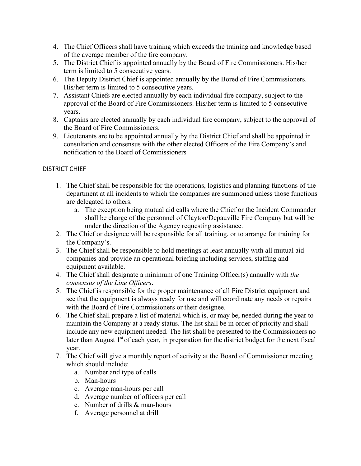- 4. The Chief Officers shall have training which exceeds the training and knowledge based of the average member of the fire company.
- 5. The District Chief is appointed annually by the Board of Fire Commissioners. His/her term is limited to 5 consecutive years.
- 6. The Deputy District Chief is appointed annually by the Bored of Fire Commissioners. His/her term is limited to 5 consecutive years.
- 7. Assistant Chiefs are elected annually by each individual fire company, subject to the approval of the Board of Fire Commissioners. His/her term is limited to 5 consecutive years.
- 8. Captains are elected annually by each individual fire company, subject to the approval of the Board of Fire Commissioners.
- 9. Lieutenants are to be appointed annually by the District Chief and shall be appointed in consultation and consensus with the other elected Officers of the Fire Company's and notification to the Board of Commissioners

## DISTRICT CHIEF

- 1. The Chief shall be responsible for the operations, logistics and planning functions of the department at all incidents to which the companies are summoned unless those functions are delegated to others.
	- a. The exception being mutual aid calls where the Chief or the Incident Commander shall be charge of the personnel of Clayton/Depauville Fire Company but will be under the direction of the Agency requesting assistance.
- 2. The Chief or designee will be responsible for all training, or to arrange for training for the Company's.
- 3. The Chief shall be responsible to hold meetings at least annually with all mutual aid companies and provide an operational briefing including services, staffing and equipment available.
- 4. The Chief shall designate a minimum of one Training Officer(s) annually with *the consensus of the Line Officers*.
- 5. The Chief is responsible for the proper maintenance of all Fire District equipment and see that the equipment is always ready for use and will coordinate any needs or repairs with the Board of Fire Commissioners or their designee.
- 6. The Chief shall prepare a list of material which is, or may be, needed during the year to maintain the Company at a ready status. The list shall be in order of priority and shall include any new equipment needed. The list shall be presented to the Commissioners no later than August  $1<sup>st</sup>$  of each year, in preparation for the district budget for the next fiscal year.
- 7. The Chief will give a monthly report of activity at the Board of Commissioner meeting which should include:
	- a. Number and type of calls
	- b. Man-hours
	- c. Average man-hours per call
	- d. Average number of officers per call
	- e. Number of drills & man-hours
	- f. Average personnel at drill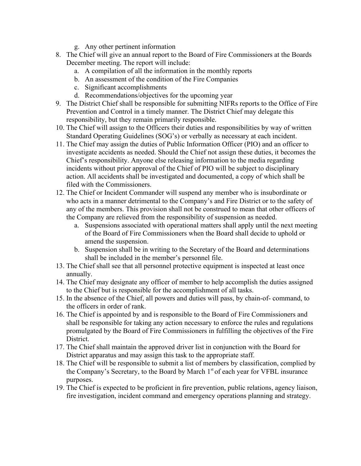- g. Any other pertinent information
- 8. The Chief will give an annual report to the Board of Fire Commissioners at the Boards December meeting. The report will include:
	- a. A compilation of all the information in the monthly reports
	- b. An assessment of the condition of the Fire Companies
	- c. Significant accomplishments
	- d. Recommendations/objectives for the upcoming year
- 9. The District Chief shall be responsible for submitting NIFRs reports to the Office of Fire Prevention and Control in a timely manner. The District Chief may delegate this responsibility, but they remain primarily responsible.
- 10. The Chief will assign to the Officers their duties and responsibilities by way of written Standard Operating Guidelines (SOG's) or verbally as necessary at each incident.
- 11. The Chief may assign the duties of Public Information Officer (PIO) and an officer to investigate accidents as needed. Should the Chief not assign these duties, it becomes the Chief's responsibility. Anyone else releasing information to the media regarding incidents without prior approval of the Chief of PIO will be subject to disciplinary action. All accidents shall be investigated and documented, a copy of which shall be filed with the Commissioners.
- 12. The Chief or Incident Commander will suspend any member who is insubordinate or who acts in a manner detrimental to the Company's and Fire District or to the safety of any of the members. This provision shall not be construed to mean that other officers of the Company are relieved from the responsibility of suspension as needed.
	- a. Suspensions associated with operational matters shall apply until the next meeting of the Board of Fire Commissioners when the Board shall decide to uphold or amend the suspension.
	- b. Suspension shall be in writing to the Secretary of the Board and determinations shall be included in the member's personnel file.
- 13. The Chief shall see that all personnel protective equipment is inspected at least once annually.
- 14. The Chief may designate any officer of member to help accomplish the duties assigned to the Chief but is responsible for the accomplishment of all tasks.
- 15. In the absence of the Chief, all powers and duties will pass, by chain-of- command, to the officers in order of rank.
- 16. The Chief is appointed by and is responsible to the Board of Fire Commissioners and shall be responsible for taking any action necessary to enforce the rules and regulations promulgated by the Board of Fire Commissioners in fulfilling the objectives of the Fire District.
- 17. The Chief shall maintain the approved driver list in conjunction with the Board for District apparatus and may assign this task to the appropriate staff.
- 18. The Chief will be responsible to submit a list of members by classification, complied by the Company's Secretary, to the Board by March  $1<sup>st</sup>$  of each year for VFBL insurance purposes.
- 19. The Chief is expected to be proficient in fire prevention, public relations, agency liaison, fire investigation, incident command and emergency operations planning and strategy.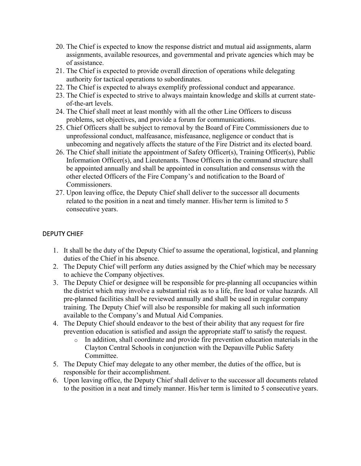- 20. The Chief is expected to know the response district and mutual aid assignments, alarm assignments, available resources, and governmental and private agencies which may be of assistance.
- 21. The Chief is expected to provide overall direction of operations while delegating authority for tactical operations to subordinates.
- 22. The Chief is expected to always exemplify professional conduct and appearance.
- 23. The Chief is expected to strive to always maintain knowledge and skills at current stateof-the-art levels.
- 24. The Chief shall meet at least monthly with all the other Line Officers to discuss problems, set objectives, and provide a forum for communications.
- 25. Chief Officers shall be subject to removal by the Board of Fire Commissioners due to unprofessional conduct, malfeasance, misfeasance, negligence or conduct that is unbecoming and negatively affects the stature of the Fire District and its elected board.
- 26. The Chief shall initiate the appointment of Safety Officer(s), Training Officer(s), Public Information Officer(s), and Lieutenants. Those Officers in the command structure shall be appointed annually and shall be appointed in consultation and consensus with the other elected Officers of the Fire Company's and notification to the Board of Commissioners.
- 27. Upon leaving office, the Deputy Chief shall deliver to the successor all documents related to the position in a neat and timely manner. His/her term is limited to 5 consecutive years.

### DEPUTY CHIEF

- 1. It shall be the duty of the Deputy Chief to assume the operational, logistical, and planning duties of the Chief in his absence.
- 2. The Deputy Chief will perform any duties assigned by the Chief which may be necessary to achieve the Company objectives.
- 3. The Deputy Chief or designee will be responsible for pre-planning all occupancies within the district which may involve a substantial risk as to a life, fire load or value hazards. All pre-planned facilities shall be reviewed annually and shall be used in regular company training. The Deputy Chief will also be responsible for making all such information available to the Company's and Mutual Aid Companies.
- 4. The Deputy Chief should endeavor to the best of their ability that any request for fire prevention education is satisfied and assign the appropriate staff to satisfy the request.
	- o In addition, shall coordinate and provide fire prevention education materials in the Clayton Central Schools in conjunction with the Depauville Public Safety Committee.
- 5. The Deputy Chief may delegate to any other member, the duties of the office, but is responsible for their accomplishment.
- 6. Upon leaving office, the Deputy Chief shall deliver to the successor all documents related to the position in a neat and timely manner. His/her term is limited to 5 consecutive years.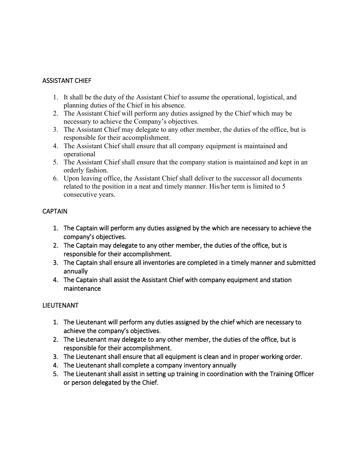### ASSISTANT CHIEF

- 1. It shall be the duty of the Assistant Chief to assume the operational, logistical, and planning duties of the Chief in his absence.
- 2. The Assistant Chief will perform any duties assigned by the Chief which may be necessary to achieve the Company's objectives.
- 3. The Assistant Chief may delegate to any other member, the duties of the office, but is responsible for their accomplishment.
- 4. The Assistant Chief shall ensure that all company equipment is maintained and operational
- 5. The Assistant Chief shall ensure that the company station is maintained and kept in an orderly fashion.
- 6. Upon leaving office, the Assistant Chief shall deliver to the successor all documents related to the position in a neat and timely manner. His/her term is limited to 5 consecutive years.

## **CAPTAIN**

- 1. The Captain will perform any duties assigned by the which are necessary to achieve the company's objectives.
- 2. The Captain may delegate to any other member, the duties of the office, but is responsible for their accomplishment.
- 3. The Captain shall ensure all inventories are completed in a timely manner and submitted annually
- 4. The Captain shall assist the Assistant Chief with company equipment and station maintenance

## LIEUTENANT

- 1. The Lieutenant will perform any duties assigned by the chief which are necessary to achieve the company's objectives.
- 2. The Lieutenant may delegate to any other member, the duties of the office, but is responsible for their accomplishment.
- 3. The Lieutenant shall ensure that all equipment is clean and in proper working order.
- 4. The Lieutenant shall complete a company inventory annually
- 5. The Lieutenant shall assist in setting up training in coordination with the Training Officer or person delegated by the Chief.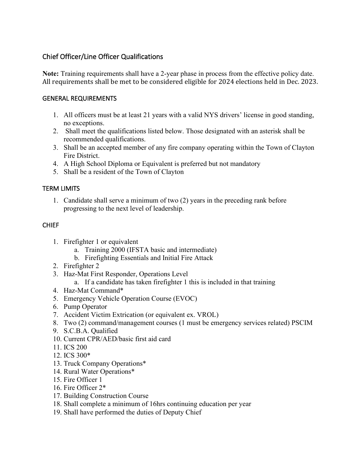# Chief Officer/Line Officer Qualifications

**Note:** Training requirements shall have a 2-year phase in process from the effective policy date. All requirements shall be met to be considered eligible for 2024 elections held in Dec. 2023.

### GENERAL REQUIREMENTS

- 1. All officers must be at least 21 years with a valid NYS drivers' license in good standing, no exceptions.
- 2. Shall meet the qualifications listed below. Those designated with an asterisk shall be recommended qualifications.
- 3. Shall be an accepted member of any fire company operating within the Town of Clayton Fire District.
- 4. A High School Diploma or Equivalent is preferred but not mandatory
- 5. Shall be a resident of the Town of Clayton

# TERM LIMITS

1. Candidate shall serve a minimum of two (2) years in the preceding rank before progressing to the next level of leadership.

## CHIEF

- 1. Firefighter 1 or equivalent
	- a. Training 2000 (IFSTA basic and intermediate)
	- b. Firefighting Essentials and Initial Fire Attack
- 2. Firefighter 2
- 3. Haz-Mat First Responder, Operations Level
	- a. If a candidate has taken firefighter 1 this is included in that training
- 4. Haz-Mat Command\*
- 5. Emergency Vehicle Operation Course (EVOC)
- 6. Pump Operator
- 7. Accident Victim Extrication (or equivalent ex. VROL)
- 8. Two (2) command/management courses (1 must be emergency services related) PSCIM
- 9. S.C.B.A. Qualified
- 10. Current CPR/AED/basic first aid card
- 11. ICS 200
- 12. ICS 300\*
- 13. Truck Company Operations\*
- 14. Rural Water Operations\*
- 15. Fire Officer 1
- 16. Fire Officer 2\*
- 17. Building Construction Course
- 18. Shall complete a minimum of 16hrs continuing education per year
- 19. Shall have performed the duties of Deputy Chief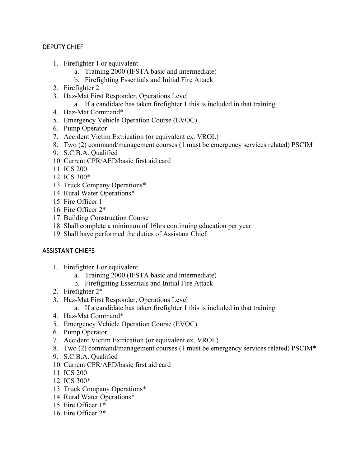### DEPUTY CHIEF

- 1. Firefighter 1 or equivalent
	- a. Training 2000 (IFSTA basic and intermediate)
	- b. Firefighting Essentials and Initial Fire Attack
- 2. Firefighter 2
- 3. Haz-Mat First Responder, Operations Level
	- a. If a candidate has taken firefighter 1 this is included in that training
- 4. Haz-Mat Command\*
- 5. Emergency Vehicle Operation Course (EVOC)
- 6. Pump Operator
- 7. Accident Victim Extrication (or equivalent ex. VROL)
- 8. Two (2) command/management courses (1 must be emergency services related) PSCIM
- 9. S.C.B.A. Qualified
- 10. Current CPR/AED/basic first aid card
- 11. ICS 200
- 12. ICS 300\*
- 13. Truck Company Operations\*
- 14. Rural Water Operations\*
- 15. Fire Officer 1
- 16. Fire Officer 2\*
- 17. Building Construction Course
- 18. Shall complete a minimum of 16hrs continuing education per year
- 19. Shall have performed the duties of Assistant Chief

### ASSISTANT CHIEFS

- 1. Firefighter 1 or equivalent
	- a. Training 2000 (IFSTA basic and intermediate)
	- b. Firefighting Essentials and Initial Fire Attack
- 2. Firefighter 2\*
- 3. Haz-Mat First Responder, Operations Level
	- a. If a candidate has taken firefighter 1 this is included in that training
- 4. Haz-Mat Command\*
- 5. Emergency Vehicle Operation Course (EVOC)
- 6. Pump Operator
- 7. Accident Victim Extrication (or equivalent ex. VROL)
- 8. Two (2) command/management courses (1 must be emergency services related) PSCIM\*
- 9. S.C.B.A. Qualified
- 10. Current CPR/AED/basic first aid card
- 11. ICS 200
- 12. ICS 300\*
- 13. Truck Company Operations\*
- 14. Rural Water Operations\*
- 15. Fire Officer 1\*
- 16. Fire Officer 2\*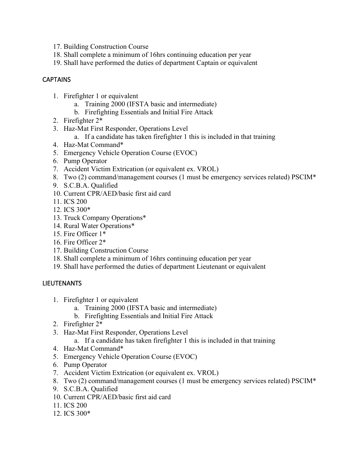- 17. Building Construction Course
- 18. Shall complete a minimum of 16hrs continuing education per year
- 19. Shall have performed the duties of department Captain or equivalent

#### **CAPTAINS**

- 1. Firefighter 1 or equivalent
	- a. Training 2000 (IFSTA basic and intermediate)
	- b. Firefighting Essentials and Initial Fire Attack
- 2. Firefighter 2\*
- 3. Haz-Mat First Responder, Operations Level
	- a. If a candidate has taken firefighter 1 this is included in that training
- 4. Haz-Mat Command\*
- 5. Emergency Vehicle Operation Course (EVOC)
- 6. Pump Operator
- 7. Accident Victim Extrication (or equivalent ex. VROL)
- 8. Two (2) command/management courses (1 must be emergency services related) PSCIM\*
- 9. S.C.B.A. Qualified
- 10. Current CPR/AED/basic first aid card
- 11. ICS 200
- 12. ICS 300\*
- 13. Truck Company Operations\*
- 14. Rural Water Operations\*
- 15. Fire Officer 1\*
- 16. Fire Officer 2\*
- 17. Building Construction Course
- 18. Shall complete a minimum of 16hrs continuing education per year
- 19. Shall have performed the duties of department Lieutenant or equivalent

#### LIEUTENANTS

- 1. Firefighter 1 or equivalent
	- a. Training 2000 (IFSTA basic and intermediate)
	- b. Firefighting Essentials and Initial Fire Attack
- 2. Firefighter 2\*
- 3. Haz-Mat First Responder, Operations Level
	- a. If a candidate has taken firefighter 1 this is included in that training
- 4. Haz-Mat Command\*
- 5. Emergency Vehicle Operation Course (EVOC)
- 6. Pump Operator
- 7. Accident Victim Extrication (or equivalent ex. VROL)
- 8. Two (2) command/management courses (1 must be emergency services related) PSCIM\*
- 9. S.C.B.A. Qualified
- 10. Current CPR/AED/basic first aid card
- 11. ICS 200
- 12. ICS 300\*